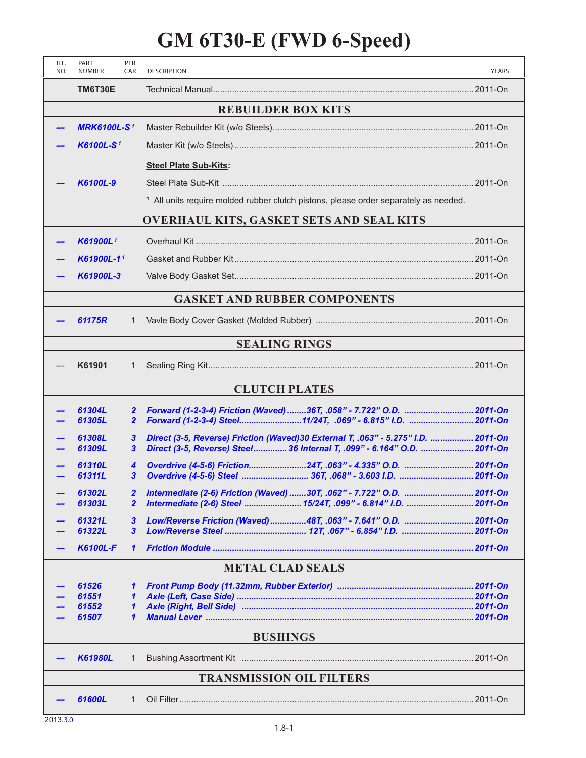## **GM 6T30-E (FWD 6-Speed)**

| ILL.<br>NO.                                     | PART<br><b>NUMBER</b> | PER<br>CAR                       | <b>DESCRIPTION</b>                                                                                                                                           | <b>YEARS</b> |  |  |  |  |
|-------------------------------------------------|-----------------------|----------------------------------|--------------------------------------------------------------------------------------------------------------------------------------------------------------|--------------|--|--|--|--|
|                                                 | TM6T30E               |                                  |                                                                                                                                                              |              |  |  |  |  |
| <b>REBUILDER BOX KITS</b>                       |                       |                                  |                                                                                                                                                              |              |  |  |  |  |
|                                                 | <b>MRK6100L-S1</b>    |                                  |                                                                                                                                                              |              |  |  |  |  |
|                                                 | K6100L-S <sup>1</sup> |                                  |                                                                                                                                                              |              |  |  |  |  |
|                                                 |                       |                                  | <b>Steel Plate Sub-Kits:</b>                                                                                                                                 |              |  |  |  |  |
|                                                 | K6100L-9              |                                  |                                                                                                                                                              |              |  |  |  |  |
|                                                 |                       |                                  | <sup>1</sup> All units require molded rubber clutch pistons, please order separately as needed.                                                              |              |  |  |  |  |
| <b>OVERHAUL KITS, GASKET SETS AND SEAL KITS</b> |                       |                                  |                                                                                                                                                              |              |  |  |  |  |
|                                                 | K61900L <sup>1</sup>  |                                  |                                                                                                                                                              |              |  |  |  |  |
|                                                 | K61900L-11            |                                  |                                                                                                                                                              |              |  |  |  |  |
|                                                 | K61900L-3             |                                  |                                                                                                                                                              |              |  |  |  |  |
| <b>GASKET AND RUBBER COMPONENTS</b>             |                       |                                  |                                                                                                                                                              |              |  |  |  |  |
|                                                 | 61175R                | 1                                |                                                                                                                                                              |              |  |  |  |  |
| <b>SEALING RINGS</b>                            |                       |                                  |                                                                                                                                                              |              |  |  |  |  |
|                                                 | K61901                | 1                                |                                                                                                                                                              |              |  |  |  |  |
| <b>CLUTCH PLATES</b>                            |                       |                                  |                                                                                                                                                              |              |  |  |  |  |
|                                                 | 61304L<br>61305L      | $\overline{2}$<br>$\overline{2}$ | Forward (1-2-3-4) Friction (Waved) 36T, .058" - 7.722" O.D.  2011-On<br>Forward (1-2-3-4) Steel11/24T, .069" - 6.815" I.D.  2011-On                          |              |  |  |  |  |
|                                                 | 61308L<br>61309L      | $\boldsymbol{3}$<br>3            | Direct (3-5, Reverse) Friction (Waved)30 External T, .063" - 5.275" I.D.  2011-On<br>Direct (3-5, Reverse) Steel 36 Internal T, .099" - 6.164" O.D.  2011-On |              |  |  |  |  |
|                                                 | 61310L<br>61311L      | 4<br>3                           | Overdrive (4-5-6) Friction24T, .063" - 4.335" O.D.  2011-On                                                                                                  |              |  |  |  |  |
|                                                 | 61302L<br>61303L      | $\overline{2}$<br>$\overline{2}$ | Intermediate (2-6) Friction (Waved) 30T, .062" - 7.722" O.D.  2011-On<br>Intermediate (2-6) Steel  15/24T, .099" - 6.814" I.D.  2011-On                      |              |  |  |  |  |
|                                                 | 61321L<br>61322L      | $\mathbf{3}$<br>$\mathbf{3}$     | Low/Reverse Friction (Waved) 48T, .063" - 7.641" O.D.  2011-On                                                                                               |              |  |  |  |  |
|                                                 | <b>K6100L-F</b>       | $\mathbf{\mathbf{1}}$            |                                                                                                                                                              |              |  |  |  |  |
| <b>METAL CLAD SEALS</b>                         |                       |                                  |                                                                                                                                                              |              |  |  |  |  |
|                                                 | 61526                 | 1                                |                                                                                                                                                              |              |  |  |  |  |
|                                                 | 61551<br>61552        | 1<br>$\mathbf{\mathbf{1}}$       |                                                                                                                                                              |              |  |  |  |  |
|                                                 | 61507                 | $\mathbf{1}$                     |                                                                                                                                                              |              |  |  |  |  |
| <b>BUSHINGS</b>                                 |                       |                                  |                                                                                                                                                              |              |  |  |  |  |
|                                                 | <b>K61980L</b>        | 1                                |                                                                                                                                                              |              |  |  |  |  |
| <b>TRANSMISSION OIL FILTERS</b>                 |                       |                                  |                                                                                                                                                              |              |  |  |  |  |
|                                                 | 61600L                | 1                                |                                                                                                                                                              |              |  |  |  |  |